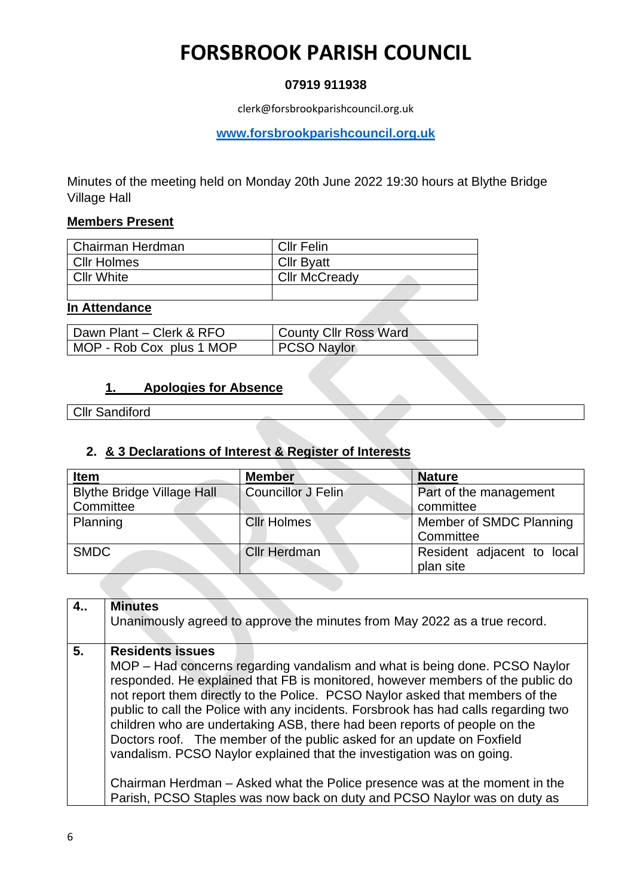## **07919 911938**

clerk@forsbrookparishcouncil.org.uk

**[www.forsbrookparishcouncil.org.uk](http://www.forsbrookparishcouncil.org.uk/)** 

Minutes of the meeting held on Monday 20th June 2022 19:30 hours at Blythe Bridge Village Hall

#### **Members Present**

| l Chairman Herdman | <b>CIIr Felin</b>    |
|--------------------|----------------------|
| Cllr Holmes        | <b>Cllr Byatt</b>    |
| <b>Cllr White</b>  | <b>Cllr McCready</b> |
|                    |                      |

#### **In Attendance**

| Dawn Plant - Clerk & RFO | County Cllr Ross Ward |
|--------------------------|-----------------------|
| MOP - Rob Cox plus 1 MOP | PCSO Naylor           |

## **1. Apologies for Absence**

Cllr Sandiford

## **2. & 3 Declarations of Interest & Register of Interests**

| <b>Item</b>                       | <b>Member</b>             | <b>Nature</b>              |
|-----------------------------------|---------------------------|----------------------------|
| <b>Blythe Bridge Village Hall</b> | <b>Councillor J Felin</b> | Part of the management     |
| Committee                         |                           | committee                  |
| Planning                          | <b>Cllr Holmes</b>        | Member of SMDC Planning    |
|                                   |                           | Committee                  |
| <b>SMDC</b>                       | <b>Cllr Herdman</b>       | Resident adjacent to local |
|                                   |                           | plan site                  |

| 4 <sub>1</sub> | <b>Minutes</b><br>Unanimously agreed to approve the minutes from May 2022 as a true record.                                                                                                                                                                                                                                                                                                                                                                                                                                                                                                                                                                                                                                                               |
|----------------|-----------------------------------------------------------------------------------------------------------------------------------------------------------------------------------------------------------------------------------------------------------------------------------------------------------------------------------------------------------------------------------------------------------------------------------------------------------------------------------------------------------------------------------------------------------------------------------------------------------------------------------------------------------------------------------------------------------------------------------------------------------|
| 5.             | <b>Residents issues</b><br>MOP - Had concerns regarding vandalism and what is being done. PCSO Naylor<br>responded. He explained that FB is monitored, however members of the public do<br>not report them directly to the Police. PCSO Naylor asked that members of the<br>public to call the Police with any incidents. Forsbrook has had calls regarding two<br>children who are undertaking ASB, there had been reports of people on the<br>Doctors roof. The member of the public asked for an update on Foxfield<br>vandalism. PCSO Naylor explained that the investigation was on going.<br>Chairman Herdman – Asked what the Police presence was at the moment in the<br>Parish, PCSO Staples was now back on duty and PCSO Naylor was on duty as |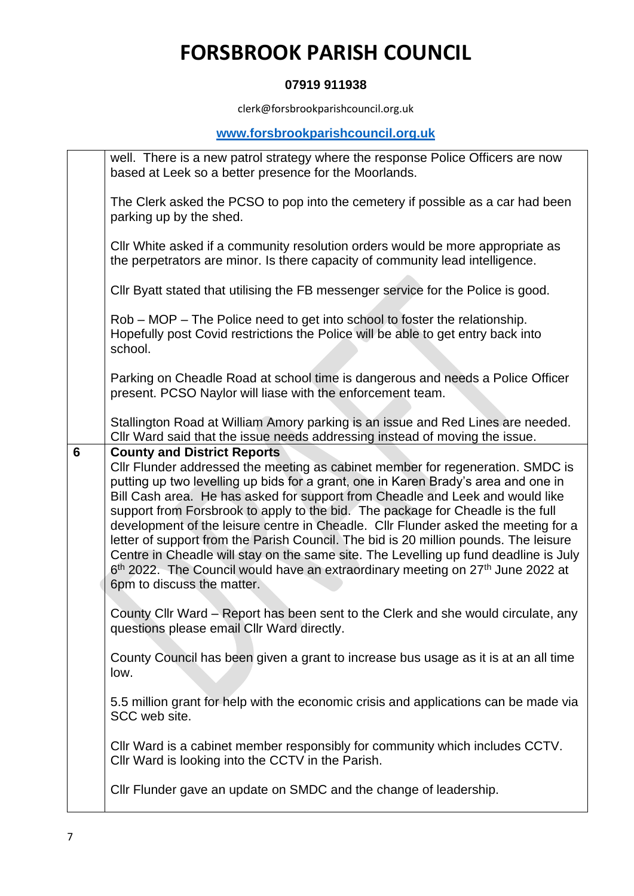### **07919 911938**

clerk@forsbrookparishcouncil.org.uk

## **[www.forsbrookparishcouncil.org.uk](http://www.forsbrookparishcouncil.org.uk/)**

|                | well. There is a new patrol strategy where the response Police Officers are now<br>based at Leek so a better presence for the Moorlands.                                                                                                                                                                                                                                                                                                                                                                                                                                                                                                                                                                                                                                                     |
|----------------|----------------------------------------------------------------------------------------------------------------------------------------------------------------------------------------------------------------------------------------------------------------------------------------------------------------------------------------------------------------------------------------------------------------------------------------------------------------------------------------------------------------------------------------------------------------------------------------------------------------------------------------------------------------------------------------------------------------------------------------------------------------------------------------------|
|                | The Clerk asked the PCSO to pop into the cemetery if possible as a car had been<br>parking up by the shed.                                                                                                                                                                                                                                                                                                                                                                                                                                                                                                                                                                                                                                                                                   |
|                | CIIr White asked if a community resolution orders would be more appropriate as<br>the perpetrators are minor. Is there capacity of community lead intelligence.                                                                                                                                                                                                                                                                                                                                                                                                                                                                                                                                                                                                                              |
|                | CIIr Byatt stated that utilising the FB messenger service for the Police is good.                                                                                                                                                                                                                                                                                                                                                                                                                                                                                                                                                                                                                                                                                                            |
|                | Rob – MOP – The Police need to get into school to foster the relationship.<br>Hopefully post Covid restrictions the Police will be able to get entry back into<br>school.                                                                                                                                                                                                                                                                                                                                                                                                                                                                                                                                                                                                                    |
|                | Parking on Cheadle Road at school time is dangerous and needs a Police Officer<br>present. PCSO Naylor will liase with the enforcement team.                                                                                                                                                                                                                                                                                                                                                                                                                                                                                                                                                                                                                                                 |
|                | Stallington Road at William Amory parking is an issue and Red Lines are needed.<br>CIIr Ward said that the issue needs addressing instead of moving the issue.                                                                                                                                                                                                                                                                                                                                                                                                                                                                                                                                                                                                                               |
| $6\phantom{1}$ | <b>County and District Reports</b><br>Cllr Flunder addressed the meeting as cabinet member for regeneration. SMDC is<br>putting up two levelling up bids for a grant, one in Karen Brady's area and one in<br>Bill Cash area. He has asked for support from Cheadle and Leek and would like<br>support from Forsbrook to apply to the bid. The package for Cheadle is the full<br>development of the leisure centre in Cheadle. Cllr Flunder asked the meeting for a<br>letter of support from the Parish Council. The bid is 20 million pounds. The leisure<br>Centre in Cheadle will stay on the same site. The Levelling up fund deadline is July<br>6 <sup>th</sup> 2022. The Council would have an extraordinary meeting on 27 <sup>th</sup> June 2022 at<br>6pm to discuss the matter. |
|                | County Cllr Ward – Report has been sent to the Clerk and she would circulate, any<br>questions please email Cllr Ward directly.                                                                                                                                                                                                                                                                                                                                                                                                                                                                                                                                                                                                                                                              |
|                | County Council has been given a grant to increase bus usage as it is at an all time<br>low.                                                                                                                                                                                                                                                                                                                                                                                                                                                                                                                                                                                                                                                                                                  |
|                | 5.5 million grant for help with the economic crisis and applications can be made via<br>SCC web site.                                                                                                                                                                                                                                                                                                                                                                                                                                                                                                                                                                                                                                                                                        |
|                | CIIr Ward is a cabinet member responsibly for community which includes CCTV.<br>Cllr Ward is looking into the CCTV in the Parish.                                                                                                                                                                                                                                                                                                                                                                                                                                                                                                                                                                                                                                                            |
|                | Cllr Flunder gave an update on SMDC and the change of leadership.                                                                                                                                                                                                                                                                                                                                                                                                                                                                                                                                                                                                                                                                                                                            |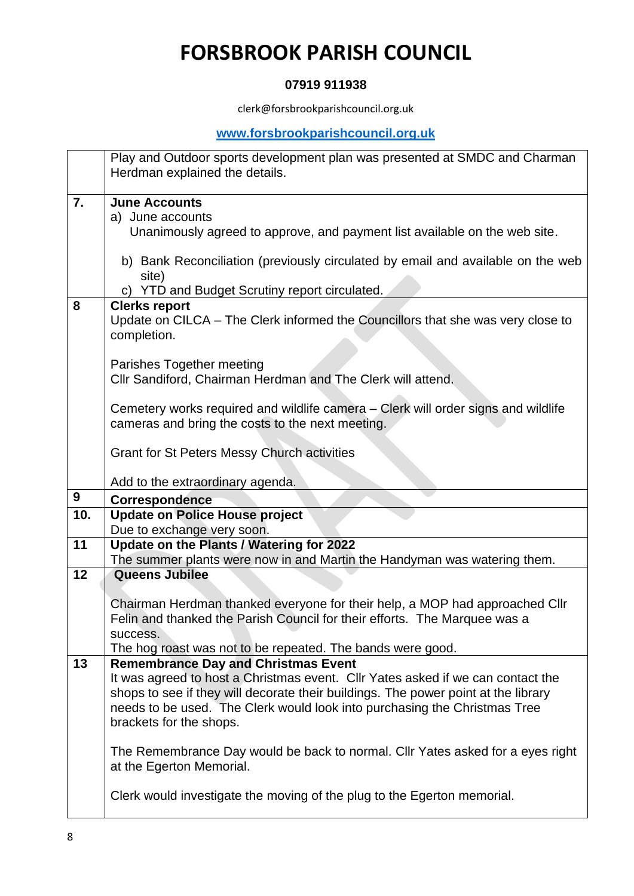## **07919 911938**

clerk@forsbrookparishcouncil.org.uk

## **[www.forsbrookparishcouncil.org.uk](http://www.forsbrookparishcouncil.org.uk/)**

|     | Play and Outdoor sports development plan was presented at SMDC and Charman<br>Herdman explained the details. |
|-----|--------------------------------------------------------------------------------------------------------------|
| 7.  | <b>June Accounts</b>                                                                                         |
|     | a) June accounts                                                                                             |
|     | Unanimously agreed to approve, and payment list available on the web site.                                   |
|     |                                                                                                              |
|     | b) Bank Reconciliation (previously circulated by email and available on the web                              |
|     | site)                                                                                                        |
|     | c) YTD and Budget Scrutiny report circulated.                                                                |
| 8   | <b>Clerks report</b>                                                                                         |
|     | Update on CILCA - The Clerk informed the Councillors that she was very close to                              |
|     | completion.                                                                                                  |
|     |                                                                                                              |
|     | Parishes Together meeting                                                                                    |
|     | Cllr Sandiford, Chairman Herdman and The Clerk will attend.                                                  |
|     | Cemetery works required and wildlife camera – Clerk will order signs and wildlife                            |
|     | cameras and bring the costs to the next meeting.                                                             |
|     |                                                                                                              |
|     | <b>Grant for St Peters Messy Church activities</b>                                                           |
|     |                                                                                                              |
|     | Add to the extraordinary agenda.                                                                             |
|     |                                                                                                              |
| 9   | <b>Correspondence</b>                                                                                        |
| 10. | <b>Update on Police House project</b>                                                                        |
|     | Due to exchange very soon.                                                                                   |
| 11  | Update on the Plants / Watering for 2022                                                                     |
|     | The summer plants were now in and Martin the Handyman was watering them.                                     |
| 12  | <b>Queens Jubilee</b>                                                                                        |
|     |                                                                                                              |
|     | Chairman Herdman thanked everyone for their help, a MOP had approached Cllr                                  |
|     | Felin and thanked the Parish Council for their efforts. The Marquee was a                                    |
|     | success.                                                                                                     |
|     | The hog roast was not to be repeated. The bands were good.                                                   |
| 13  | <b>Remembrance Day and Christmas Event</b>                                                                   |
|     | It was agreed to host a Christmas event. Cllr Yates asked if we can contact the                              |
|     | shops to see if they will decorate their buildings. The power point at the library                           |
|     | needs to be used. The Clerk would look into purchasing the Christmas Tree                                    |
|     | brackets for the shops.                                                                                      |
|     | The Remembrance Day would be back to normal. Cllr Yates asked for a eyes right                               |
|     | at the Egerton Memorial.                                                                                     |
|     |                                                                                                              |
|     | Clerk would investigate the moving of the plug to the Egerton memorial.                                      |